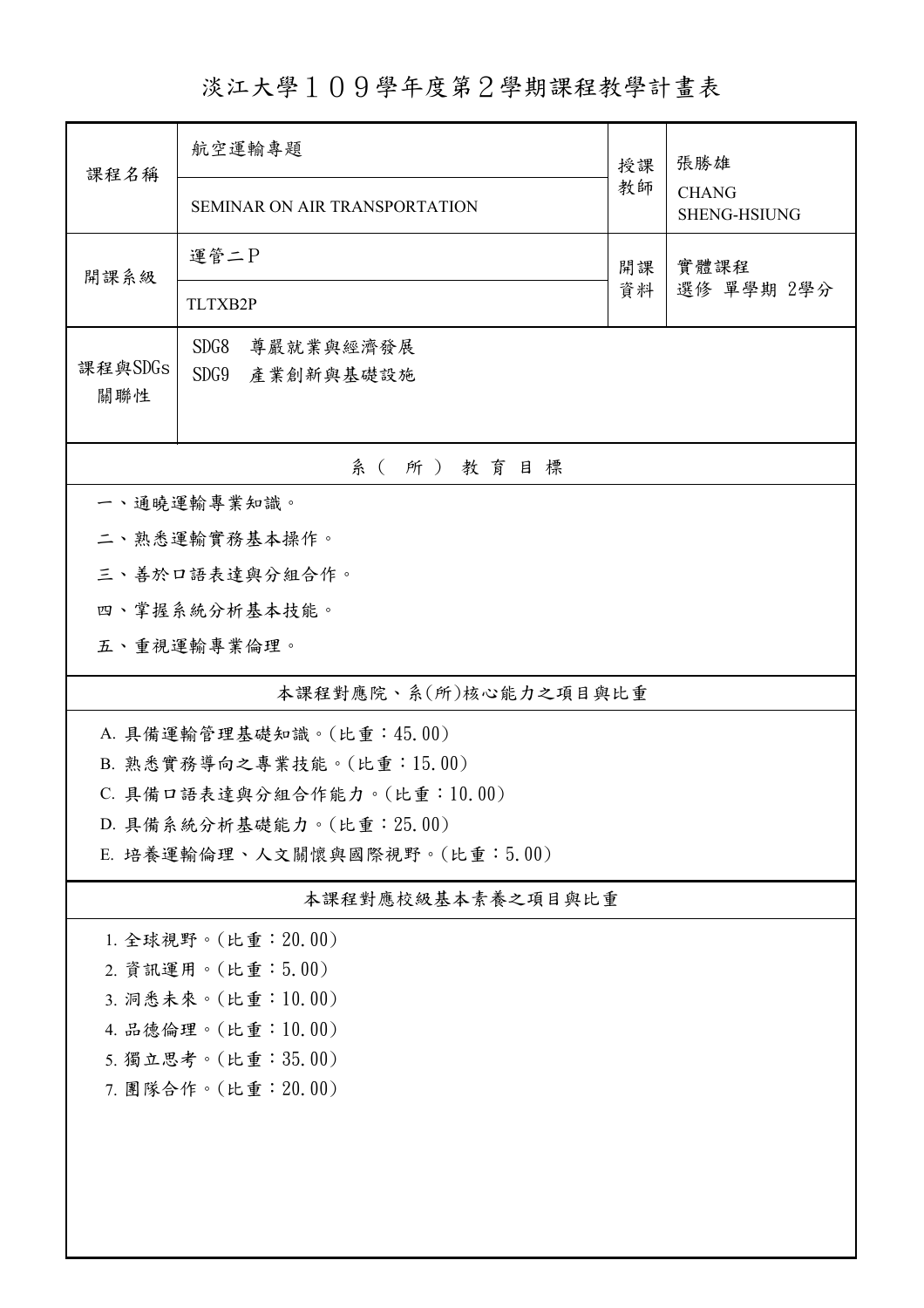淡江大學109學年度第2學期課程教學計畫表

| 航空運輸專題<br>SEMINAR ON AIR TRANSPORTATION                   |                                                                                                                                                                                     | 張勝雄<br><b>CHANG</b><br><b>SHENG-HSIUNG</b> |  |  |  |  |  |
|-----------------------------------------------------------|-------------------------------------------------------------------------------------------------------------------------------------------------------------------------------------|--------------------------------------------|--|--|--|--|--|
| 運管二P<br>實體課程<br>開課<br>開課系級<br>選修 單學期 2學分<br>資料<br>TLTXB2P |                                                                                                                                                                                     |                                            |  |  |  |  |  |
| SDG8<br>尊嚴就業與經濟發展<br>課程與SDGs<br>SDG9<br>產業創新與基礎設施<br>關聯性  |                                                                                                                                                                                     |                                            |  |  |  |  |  |
| 系(所)教育目標                                                  |                                                                                                                                                                                     |                                            |  |  |  |  |  |
|                                                           |                                                                                                                                                                                     |                                            |  |  |  |  |  |
|                                                           |                                                                                                                                                                                     |                                            |  |  |  |  |  |
|                                                           |                                                                                                                                                                                     |                                            |  |  |  |  |  |
|                                                           |                                                                                                                                                                                     |                                            |  |  |  |  |  |
|                                                           |                                                                                                                                                                                     |                                            |  |  |  |  |  |
|                                                           |                                                                                                                                                                                     |                                            |  |  |  |  |  |
|                                                           |                                                                                                                                                                                     |                                            |  |  |  |  |  |
|                                                           |                                                                                                                                                                                     |                                            |  |  |  |  |  |
| C. 具備口語表達與分組合作能力。(比重:10.00)                               |                                                                                                                                                                                     |                                            |  |  |  |  |  |
| D. 具備系統分析基礎能力。(比重: 25.00)                                 |                                                                                                                                                                                     |                                            |  |  |  |  |  |
| E. 培養運輸倫理、人文關懷與國際視野。(比重:5.00)                             |                                                                                                                                                                                     |                                            |  |  |  |  |  |
| 本課程對應校級基本素養之項目與比重                                         |                                                                                                                                                                                     |                                            |  |  |  |  |  |
|                                                           |                                                                                                                                                                                     |                                            |  |  |  |  |  |
|                                                           |                                                                                                                                                                                     |                                            |  |  |  |  |  |
| 3. 洞悉未來。(比重:10.00)                                        |                                                                                                                                                                                     |                                            |  |  |  |  |  |
| 4. 品德倫理。(比重:10.00)                                        |                                                                                                                                                                                     |                                            |  |  |  |  |  |
| 5. 獨立思考。(比重:35.00)                                        |                                                                                                                                                                                     |                                            |  |  |  |  |  |
| 7. 團隊合作。(比重: 20.00)                                       |                                                                                                                                                                                     |                                            |  |  |  |  |  |
|                                                           |                                                                                                                                                                                     |                                            |  |  |  |  |  |
|                                                           |                                                                                                                                                                                     |                                            |  |  |  |  |  |
|                                                           |                                                                                                                                                                                     |                                            |  |  |  |  |  |
|                                                           | 一、通曉運輸專業知識。<br>二、熟悉運輸實務基本操作。<br>三、善於口語表達與分組合作。<br>四、掌握系統分析基本技能。<br>五、重視運輸專業倫理。<br>A. 具備運輸管理基礎知識。(比重:45.00)<br>B. 熟悉實務導向之專業技能。(比重:15.00)<br>1. 全球視野。(比重: 20.00)<br>2. 資訊運用。(比重:5.00) | 授課<br>教師<br>本課程對應院、系(所)核心能力之項目與比重          |  |  |  |  |  |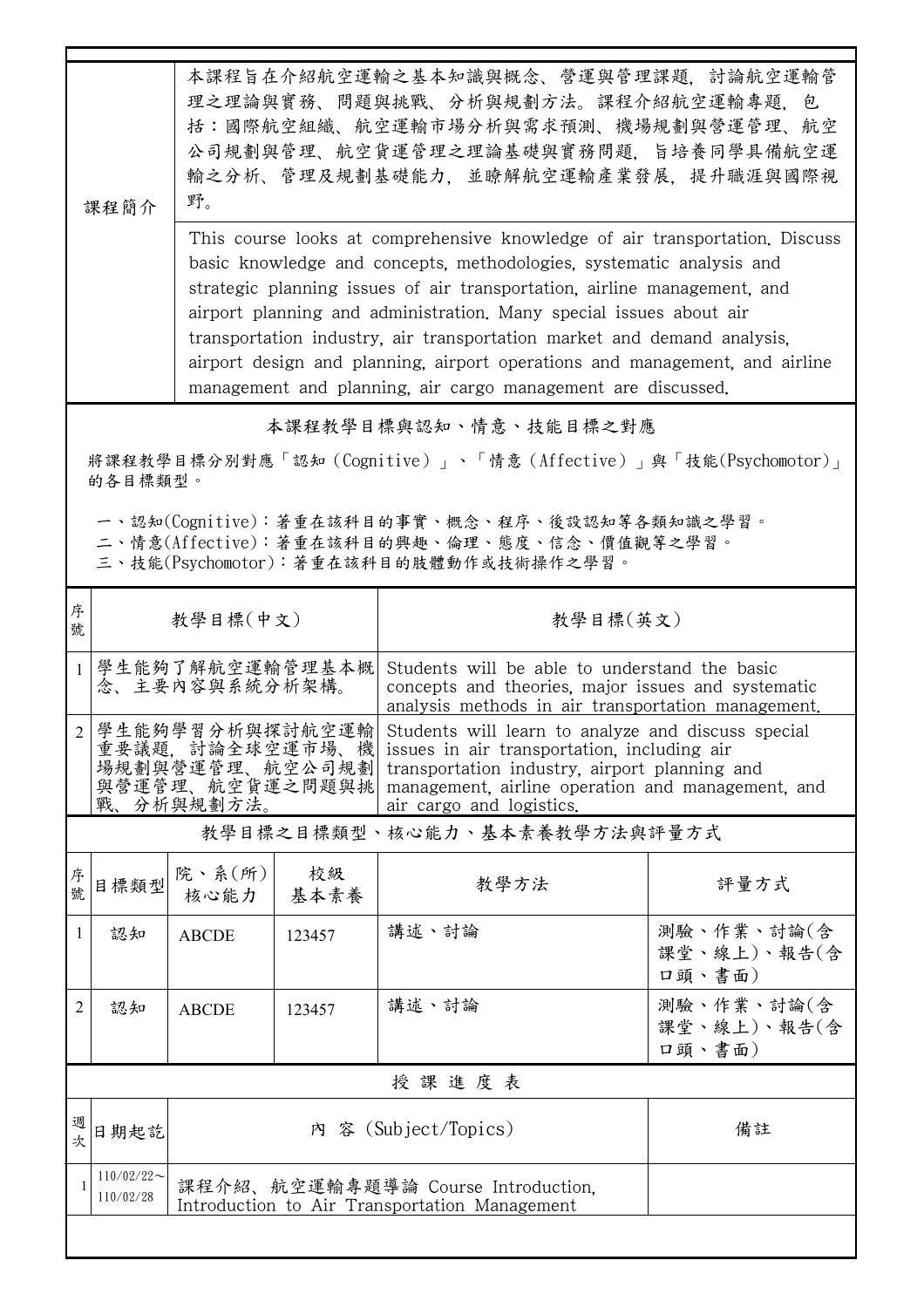|                                                                                                                                                                                                                                            | 本課程旨在介紹航空運輸之基本知識與概念、營運與管理課題,討論航空運輸管<br>理之理論與實務、問題與挑戰、分析與規劃方法。課程介紹航空運輸專題,包<br>括:國際航空組織、航空運輸市場分析與需求預測、機場規劃與營運管理、航空<br>公司規劃與管理、航空貨運管理之理論基礎與實務問題,旨培養同學具備航空運<br>輸之分析、管理及規劃基礎能力,並瞭解航空運輸產業發展,提升職涯與國際視<br>野。<br>課程簡介<br>This course looks at comprehensive knowledge of air transportation. Discuss<br>basic knowledge and concepts, methodologies, systematic analysis and<br>strategic planning issues of air transportation, airline management, and<br>airport planning and administration. Many special issues about air<br>transportation industry, air transportation market and demand analysis,<br>airport design and planning, airport operations and management, and airline |                                                                   |                      |                                                                                                                                                                                                                                     |                                     |  |
|--------------------------------------------------------------------------------------------------------------------------------------------------------------------------------------------------------------------------------------------|---------------------------------------------------------------------------------------------------------------------------------------------------------------------------------------------------------------------------------------------------------------------------------------------------------------------------------------------------------------------------------------------------------------------------------------------------------------------------------------------------------------------------------------------------------------------------------------------------------------------------------------------------------------------------------|-------------------------------------------------------------------|----------------------|-------------------------------------------------------------------------------------------------------------------------------------------------------------------------------------------------------------------------------------|-------------------------------------|--|
|                                                                                                                                                                                                                                            |                                                                                                                                                                                                                                                                                                                                                                                                                                                                                                                                                                                                                                                                                 |                                                                   |                      | management and planning, air cargo management are discussed.                                                                                                                                                                        |                                     |  |
| 本課程教學目標與認知、情意、技能目標之對應<br>將課程教學目標分別對應「認知(Cognitive)」、「情意(Affective)」與「技能(Psychomotor)」<br>的各目標類型。<br>一、認知(Cognitive):著重在該科目的事實、概念、程序、後設認知等各類知識之學習。<br>二、情意(Affective):著重在該科目的興趣、倫理、態度、信念、價值觀等之學習。<br>三、技能(Psychomotor):著重在該科目的肢體動作或技術操作之學習。 |                                                                                                                                                                                                                                                                                                                                                                                                                                                                                                                                                                                                                                                                                 |                                                                   |                      |                                                                                                                                                                                                                                     |                                     |  |
| 序<br>號                                                                                                                                                                                                                                     |                                                                                                                                                                                                                                                                                                                                                                                                                                                                                                                                                                                                                                                                                 | 教學目標(中文)                                                          |                      |                                                                                                                                                                                                                                     | 教學目標(英文)                            |  |
| $\mathbf{1}$                                                                                                                                                                                                                               |                                                                                                                                                                                                                                                                                                                                                                                                                                                                                                                                                                                                                                                                                 | 學生能夠了解航空運輸管理基本概<br>念、主要內容與系統分析架構。                                 |                      | Students will be able to understand the basic<br>concepts and theories, major issues and systematic<br>analysis methods in air transportation management.                                                                           |                                     |  |
| $\overline{2}$                                                                                                                                                                                                                             | 戰、                                                                                                                                                                                                                                                                                                                                                                                                                                                                                                                                                                                                                                                                              | 學生能夠學習分析與探討航空運輸<br>重要議題, 討論全球空運市場.<br>與營運管理、航空貨運之問題與挑<br>分析與規劃方法。 | 機<br>場規劃與營運管理、航空公司規劃 | Students will learn to analyze and discuss special<br>issues in air transportation, including air<br>transportation industry, airport planning and<br>management, airline operation and management, and<br>air cargo and logistics. |                                     |  |
|                                                                                                                                                                                                                                            |                                                                                                                                                                                                                                                                                                                                                                                                                                                                                                                                                                                                                                                                                 |                                                                   |                      | 教學目標之目標類型、核心能力、基本素養教學方法與評量方式                                                                                                                                                                                                        |                                     |  |
| 序號                                                                                                                                                                                                                                         | 目標類型                                                                                                                                                                                                                                                                                                                                                                                                                                                                                                                                                                                                                                                                            | 院、系(所)<br>核心能力                                                    | 校級<br>基本素養           | 教學方法                                                                                                                                                                                                                                | 評量方式                                |  |
| 1                                                                                                                                                                                                                                          | 認知                                                                                                                                                                                                                                                                                                                                                                                                                                                                                                                                                                                                                                                                              | <b>ABCDE</b>                                                      | 123457               | 講述、討論                                                                                                                                                                                                                               | 測驗、作業、討論(含<br>課堂、線上)、報告(含<br>口頭、書面) |  |
| 2                                                                                                                                                                                                                                          | 認知                                                                                                                                                                                                                                                                                                                                                                                                                                                                                                                                                                                                                                                                              | <b>ABCDE</b>                                                      | 123457               | 講述、討論                                                                                                                                                                                                                               | 測驗、作業、討論(含<br>課堂、線上)、報告(含<br>口頭、書面) |  |
|                                                                                                                                                                                                                                            |                                                                                                                                                                                                                                                                                                                                                                                                                                                                                                                                                                                                                                                                                 |                                                                   |                      | 授課進度表                                                                                                                                                                                                                               |                                     |  |
| 週次                                                                                                                                                                                                                                         | 日期起訖                                                                                                                                                                                                                                                                                                                                                                                                                                                                                                                                                                                                                                                                            |                                                                   |                      | 內 容 (Subject/Topics)                                                                                                                                                                                                                | 備註                                  |  |
|                                                                                                                                                                                                                                            | $110/02/22$ ~<br>課程介紹、航空運輸專題導論 Course Introduction.<br>110/02/28<br>Introduction to Air Transportation Management                                                                                                                                                                                                                                                                                                                                                                                                                                                                                                                                                               |                                                                   |                      |                                                                                                                                                                                                                                     |                                     |  |
|                                                                                                                                                                                                                                            |                                                                                                                                                                                                                                                                                                                                                                                                                                                                                                                                                                                                                                                                                 |                                                                   |                      |                                                                                                                                                                                                                                     |                                     |  |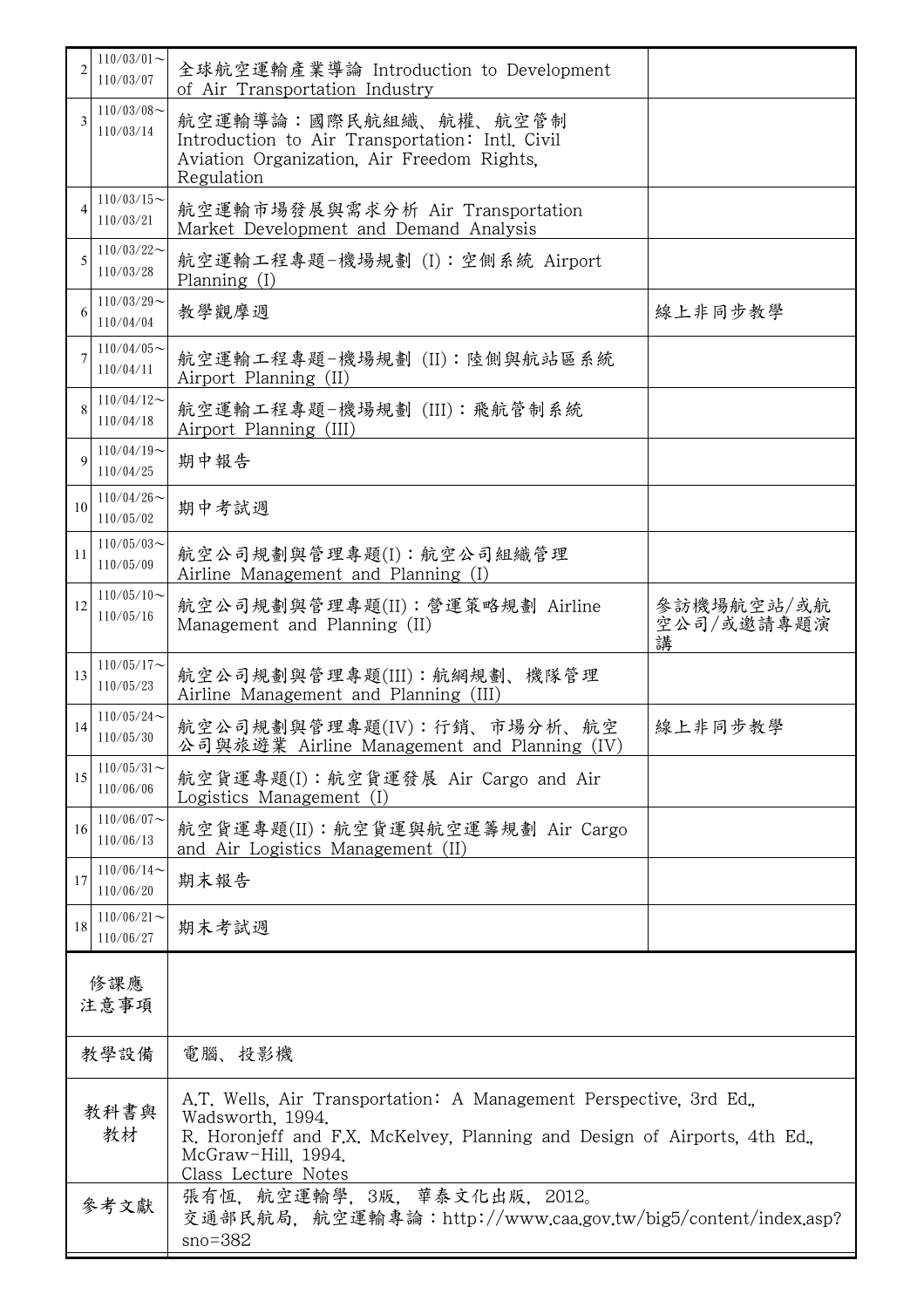|                | $110/03/01$ ~<br>110/03/07    | 全球航空運輸產業導論 Introduction to Development<br>of Air Transportation Industry                                                                                                                                        |                               |  |
|----------------|-------------------------------|-----------------------------------------------------------------------------------------------------------------------------------------------------------------------------------------------------------------|-------------------------------|--|
| 3              | $110/03/08$ ~<br>110/03/14    | 航空運輸導論:國際民航組織、航權、航空管制<br>Introduction to Air Transportation: Intl. Civil<br>Aviation Organization, Air Freedom Rights,<br>Regulation                                                                            |                               |  |
| $\overline{4}$ | $110/03/15$ ~<br>110/03/21    | 航空運輸市場發展與需求分析 Air Transportation<br>Market Development and Demand Analysis                                                                                                                                      |                               |  |
| 5              | $110/03/22$ ~<br>110/03/28    | 航空運輸工程專題-機場規劃 (I):空側系統 Airport<br>Planning (I)                                                                                                                                                                  |                               |  |
| 6              | $110/03/29$ ~<br>110/04/04    | 教學觀摩週                                                                                                                                                                                                           | 線上非同步教學                       |  |
|                | $110/04/05$ ~<br>110/04/11    | 航空運輸工程專題-機場規劃 (II):陸側與航站區系統<br>Airport Planning (II)                                                                                                                                                            |                               |  |
| $\mathbf{8}$   | $110/04/12$ ~<br>110/04/18    | 航空運輸工程專題-機場規劃 (III): 飛航管制系統<br>Airport Planning (III)                                                                                                                                                           |                               |  |
| $\mathbf Q$    | $110/04/19$ ~<br>110/04/25    | 期中報告                                                                                                                                                                                                            |                               |  |
| 10             | $110/04/26 \sim$<br>110/05/02 | 期中考試週                                                                                                                                                                                                           |                               |  |
| 11             | $110/05/03$ ~<br>110/05/09    | 航空公司規劃與管理專題(I): 航空公司組織管理<br>Airline Management and Planning (I)                                                                                                                                                 |                               |  |
| 12             | $110/05/10$ ~<br>110/05/16    | 航空公司規劃與管理專題(II):營運策略規劃 Airline<br>Management and Planning (II)                                                                                                                                                  | 參訪機場航空站/或航<br>空公司/或邀請專題演<br>講 |  |
| 13             | $110/05/17$ ~<br>110/05/23    | 航空公司規劃與管理專題(III): 航網規劃、機隊管理<br>Airline Management and Planning (III)                                                                                                                                            |                               |  |
| 14             | $110/05/24$ ~<br>110/05/30    | 航空公司規劃與管理專題(IV):行銷、市場分析、航空<br>公司與旅遊業 Airline Management and Planning (IV)                                                                                                                                       | 線上非同步教學                       |  |
| 15             | $110/05/31$ ~<br>110/06/06    | 航空貨運專題(I):航空貨運發展 Air Cargo and Air<br>Logistics Management (I)                                                                                                                                                  |                               |  |
| 16             | $110/06/07$ ~<br>110/06/13    | 航空貨運專題(II):航空貨運與航空運籌規劃 Air Cargo<br>and Air Logistics Management (II)                                                                                                                                           |                               |  |
| 17             | $110/06/14$ ~<br>110/06/20    | 期末報告                                                                                                                                                                                                            |                               |  |
| 18             | $110/06/21$ ~<br>110/06/27    | 期末考試週                                                                                                                                                                                                           |                               |  |
| 修課應<br>注意事項    |                               |                                                                                                                                                                                                                 |                               |  |
| 教學設備           |                               | 電腦、投影機                                                                                                                                                                                                          |                               |  |
| 教科書與<br>教材     |                               | A.T. Wells. Air Transportation: A Management Perspective, 3rd Ed.,<br>Wadsworth, 1994.<br>R. Horonjeff and F.X. McKelvey, Planning and Design of Airports, 4th Ed.<br>McGraw-Hill, 1994.<br>Class Lecture Notes |                               |  |
| 參考文獻           |                               | 張有恆, 航空運輸學, 3版, 華泰文化出版. 2012。<br>交通部民航局,航空運輸專論:http://www.caa.gov.tw/big5/content/index.asp?<br>$sno = 382$                                                                                                     |                               |  |